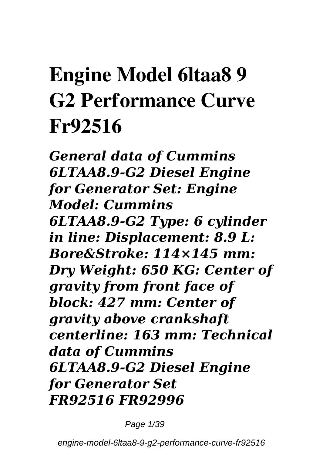## **Engine Model 6ltaa8 9 G2 Performance Curve Fr92516**

*General data of Cummins 6LTAA8.9-G2 Diesel Engine for Generator Set: Engine Model: Cummins 6LTAA8.9-G2 Type: 6 cylinder in line: Displacement: 8.9 L: Bore&Stroke: 114×145 mm: Dry Weight: 650 KG: Center of gravity from front face of block: 427 mm: Center of gravity above crankshaft centerline: 163 mm: Technical data of Cummins 6LTAA8.9-G2 Diesel Engine for Generator Set FR92516 FR92996*

Page 1/39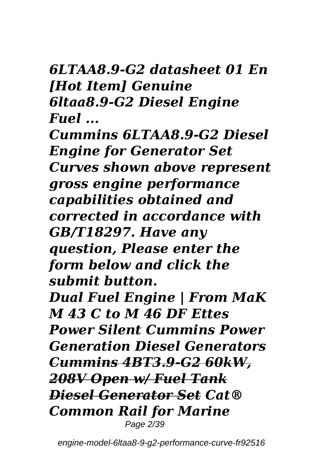#### *6LTAA8.9-G2 datasheet 01 En [Hot Item] Genuine 6ltaa8.9-G2 Diesel Engine Fuel ...*

*Cummins 6LTAA8.9-G2 Diesel Engine for Generator Set Curves shown above represent gross engine performance capabilities obtained and corrected in accordance with GB/T18297. Have any question, Please enter the form below and click the submit button.*

*Dual Fuel Engine | From MaK M 43 C to M 46 DF Ettes Power Silent Cummins Power Generation Diesel Generators Cummins 4BT3.9-G2 60kW, 208V Open w/ Fuel Tank Diesel Generator Set Cat® Common Rail for Marine* Page 2/39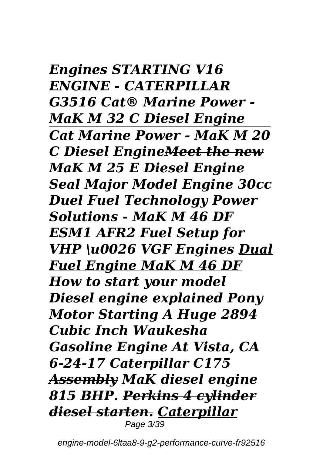*Engines STARTING V16 ENGINE - CATERPILLAR G3516 Cat® Marine Power - MaK M 32 C Diesel Engine Cat Marine Power - MaK M 20 C Diesel EngineMeet the new MaK M 25 E Diesel Engine Seal Major Model Engine 30cc Duel Fuel Technology Power Solutions - MaK M 46 DF ESM1 AFR2 Fuel Setup for VHP \u0026 VGF Engines Dual Fuel Engine MaK M 46 DF How to start your model Diesel engine explained Pony Motor Starting A Huge 2894 Cubic Inch Waukesha Gasoline Engine At Vista, CA 6-24-17 Caterpillar C175 Assembly MaK diesel engine 815 BHP. Perkins 4 cylinder diesel starten. Caterpillar* Page 3/39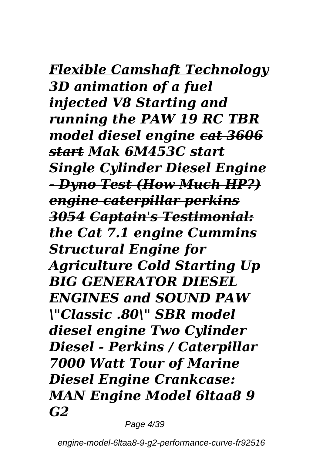#### *Flexible Camshaft Technology 3D animation of a fuel injected V8 Starting and running the PAW 19 RC TBR model diesel engine cat 3606 start Mak 6M453C start Single Cylinder Diesel Engine - Dyno Test (How Much HP?) engine caterpillar perkins 3054 Captain's Testimonial: the Cat 7.1 engine Cummins Structural Engine for Agriculture Cold Starting Up BIG GENERATOR DIESEL ENGINES and SOUND PAW \"Classic .80\" SBR model diesel engine Two Cylinder Diesel - Perkins / Caterpillar 7000 Watt Tour of Marine Diesel Engine Crankcase: MAN Engine Model 6ltaa8 9 G2*

Page 4/39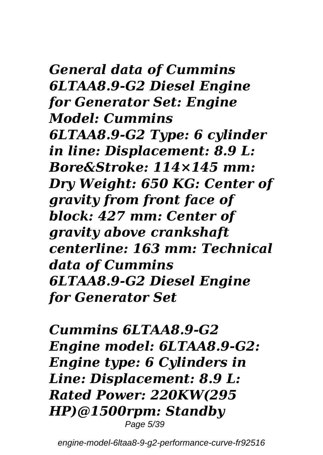*General data of Cummins 6LTAA8.9-G2 Diesel Engine for Generator Set: Engine Model: Cummins 6LTAA8.9-G2 Type: 6 cylinder in line: Displacement: 8.9 L: Bore&Stroke: 114×145 mm: Dry Weight: 650 KG: Center of gravity from front face of block: 427 mm: Center of gravity above crankshaft centerline: 163 mm: Technical data of Cummins 6LTAA8.9-G2 Diesel Engine for Generator Set*

*Cummins 6LTAA8.9-G2 Engine model: 6LTAA8.9-G2: Engine type: 6 Cylinders in Line: Displacement: 8.9 L: Rated Power: 220KW(295 HP)@1500rpm: Standby* Page 5/39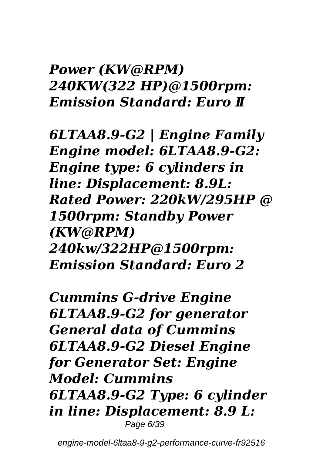#### *Power (KW@RPM) 240KW(322 HP)@1500rpm: Emission Standard: Euro Ⅱ*

*6LTAA8.9-G2 | Engine Family Engine model: 6LTAA8.9-G2: Engine type: 6 cylinders in line: Displacement: 8.9L: Rated Power: 220kW/295HP @ 1500rpm: Standby Power (KW@RPM) 240kw/322HP@1500rpm: Emission Standard: Euro 2*

*Cummins G-drive Engine 6LTAA8.9-G2 for generator General data of Cummins 6LTAA8.9-G2 Diesel Engine for Generator Set: Engine Model: Cummins 6LTAA8.9-G2 Type: 6 cylinder in line: Displacement: 8.9 L:* Page 6/39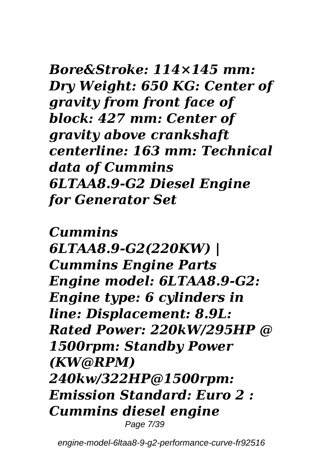*Bore&Stroke: 114×145 mm: Dry Weight: 650 KG: Center of gravity from front face of block: 427 mm: Center of gravity above crankshaft centerline: 163 mm: Technical data of Cummins 6LTAA8.9-G2 Diesel Engine for Generator Set*

*Cummins 6LTAA8.9-G2(220KW) | Cummins Engine Parts Engine model: 6LTAA8.9-G2: Engine type: 6 cylinders in line: Displacement: 8.9L: Rated Power: 220kW/295HP @ 1500rpm: Standby Power (KW@RPM) 240kw/322HP@1500rpm: Emission Standard: Euro 2 : Cummins diesel engine* Page 7/39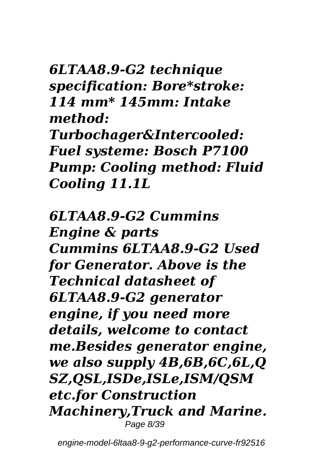*6LTAA8.9-G2 technique specification: Bore\*stroke: 114 mm\* 145mm: Intake method: Turbochager&Intercooled: Fuel systeme: Bosch P7100 Pump: Cooling method: Fluid Cooling 11.1L*

*6LTAA8.9-G2 Cummins Engine & parts Cummins 6LTAA8.9-G2 Used for Generator. Above is the Technical datasheet of 6LTAA8.9-G2 generator engine, if you need more details, welcome to contact me.Besides generator engine, we also supply 4B,6B,6C,6L,Q SZ,QSL,ISDe,ISLe,ISM/QSM etc.for Construction Machinery,Truck and Marine.* Page 8/39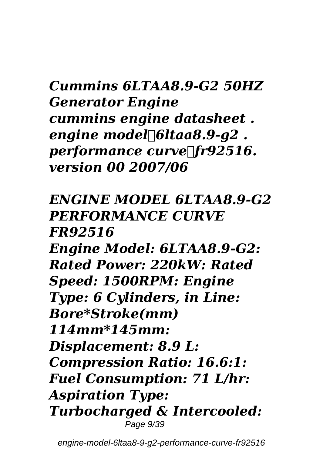#### *Cummins 6LTAA8.9-G2 50HZ Generator Engine cummins engine datasheet . engine model:6ltaa8.9-g2 . performance curve*: *fr92516. version 00 2007/06*

*ENGINE MODEL 6LTAA8.9-G2 PERFORMANCE CURVE FR92516 Engine Model: 6LTAA8.9-G2: Rated Power: 220kW: Rated Speed: 1500RPM: Engine Type: 6 Cylinders, in Line: Bore\*Stroke(mm) 114mm\*145mm: Displacement: 8.9 L: Compression Ratio: 16.6:1: Fuel Consumption: 71 L/hr: Aspiration Type: Turbocharged & Intercooled:* Page 9/39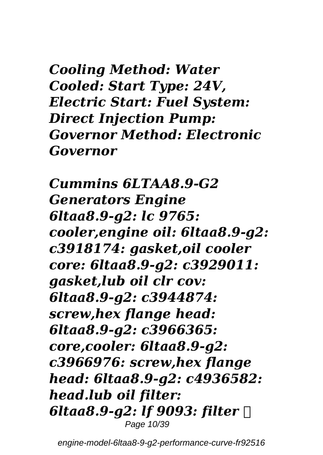*Cooling Method: Water Cooled: Start Type: 24V, Electric Start: Fuel System: Direct Injection Pump: Governor Method: Electronic Governor*

*Cummins 6LTAA8.9-G2 Generators Engine 6ltaa8.9-g2: lc 9765: cooler,engine oil: 6ltaa8.9-g2: c3918174: gasket,oil cooler core: 6ltaa8.9-g2: c3929011: gasket,lub oil clr cov: 6ltaa8.9-g2: c3944874: screw,hex flange head: 6ltaa8.9-g2: c3966365: core,cooler: 6ltaa8.9-g2: c3966976: screw,hex flange head: 6ltaa8.9-g2: c4936582: head.lub oil filter: 6ltaa8.9-g2: lf 9093: filter ,* Page 10/39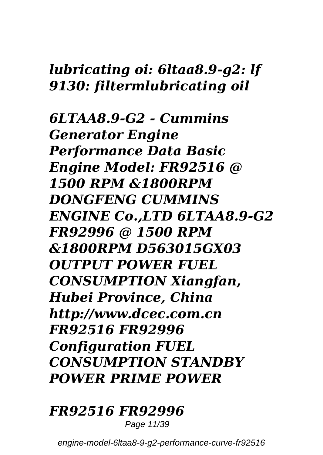#### *lubricating oi: 6ltaa8.9-g2: lf 9130: filtermlubricating oil*

*6LTAA8.9-G2 - Cummins Generator Engine Performance Data Basic Engine Model: FR92516 @ 1500 RPM &1800RPM DONGFENG CUMMINS ENGINE Co.,LTD 6LTAA8.9-G2 FR92996 @ 1500 RPM &1800RPM D563015GX03 OUTPUT POWER FUEL CONSUMPTION Xiangfan, Hubei Province, China http://www.dcec.com.cn FR92516 FR92996 Configuration FUEL CONSUMPTION STANDBY POWER PRIME POWER*

#### *FR92516 FR92996*

Page 11/39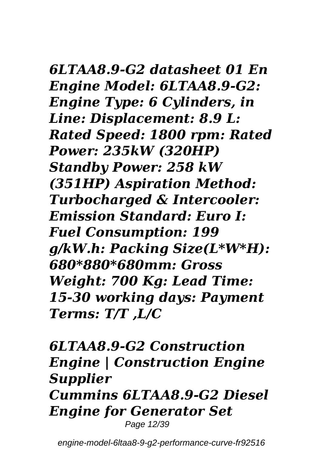#### *6LTAA8.9-G2 datasheet 01 En Engine Model: 6LTAA8.9-G2: Engine Type: 6 Cylinders, in Line: Displacement: 8.9 L: Rated Speed: 1800 rpm: Rated Power: 235kW (320HP) Standby Power: 258 kW (351HP) Aspiration Method: Turbocharged & Intercooler: Emission Standard: Euro I:*

*Fuel Consumption: 199 g/kW.h: Packing Size(L\*W\*H): 680\*880\*680mm: Gross Weight: 700 Kg: Lead Time: 15-30 working days: Payment Terms: T/T ,L/C*

*6LTAA8.9-G2 Construction Engine | Construction Engine Supplier Cummins 6LTAA8.9-G2 Diesel Engine for Generator Set* Page 12/39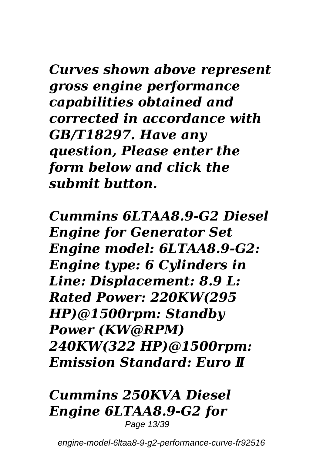*Curves shown above represent gross engine performance capabilities obtained and corrected in accordance with GB/T18297. Have any question, Please enter the form below and click the submit button.*

*Cummins 6LTAA8.9-G2 Diesel Engine for Generator Set Engine model: 6LTAA8.9-G2: Engine type: 6 Cylinders in Line: Displacement: 8.9 L: Rated Power: 220KW(295 HP)@1500rpm: Standby Power (KW@RPM) 240KW(322 HP)@1500rpm: Emission Standard: Euro Ⅱ*

#### *Cummins 250KVA Diesel Engine 6LTAA8.9-G2 for* Page 13/39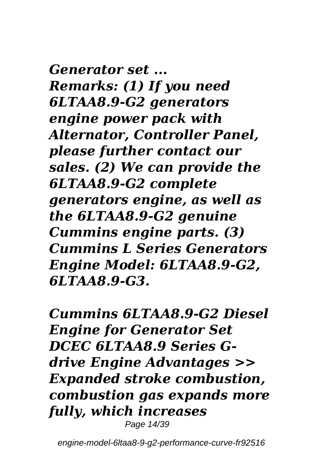*Generator set ... Remarks: (1) If you need 6LTAA8.9-G2 generators engine power pack with Alternator, Controller Panel, please further contact our sales. (2) We can provide the 6LTAA8.9-G2 complete generators engine, as well as the 6LTAA8.9-G2 genuine Cummins engine parts. (3) Cummins L Series Generators Engine Model: 6LTAA8.9-G2, 6LTAA8.9-G3.*

*Cummins 6LTAA8.9-G2 Diesel Engine for Generator Set DCEC 6LTAA8.9 Series Gdrive Engine Advantages >> Expanded stroke combustion, combustion gas expands more fully, which increases* Page 14/39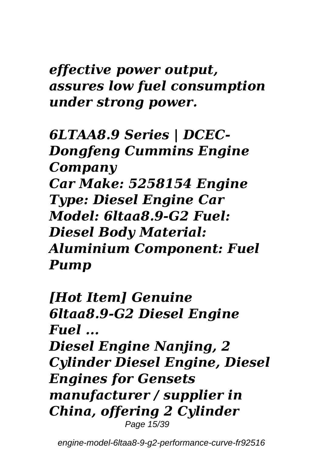*effective power output, assures low fuel consumption under strong power.*

*6LTAA8.9 Series | DCEC-Dongfeng Cummins Engine Company Car Make: 5258154 Engine Type: Diesel Engine Car Model: 6ltaa8.9-G2 Fuel: Diesel Body Material: Aluminium Component: Fuel Pump*

*[Hot Item] Genuine 6ltaa8.9-G2 Diesel Engine Fuel ... Diesel Engine Nanjing, 2 Cylinder Diesel Engine, Diesel Engines for Gensets manufacturer / supplier in China, offering 2 Cylinder* Page 15/39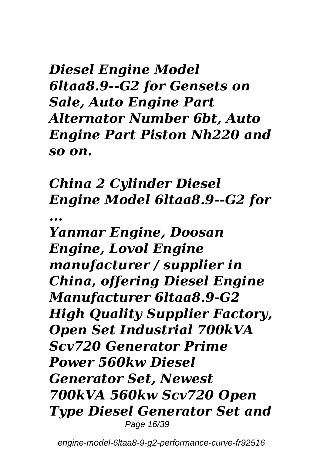*Diesel Engine Model 6ltaa8.9--G2 for Gensets on Sale, Auto Engine Part Alternator Number 6bt, Auto Engine Part Piston Nh220 and so on.*

*China 2 Cylinder Diesel Engine Model 6ltaa8.9--G2 for ...*

*Yanmar Engine, Doosan Engine, Lovol Engine manufacturer / supplier in China, offering Diesel Engine Manufacturer 6ltaa8.9-G2 High Quality Supplier Factory, Open Set Industrial 700kVA Scv720 Generator Prime Power 560kw Diesel Generator Set, Newest 700kVA 560kw Scv720 Open Type Diesel Generator Set and* Page 16/39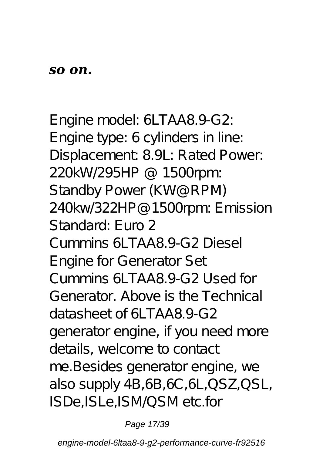Engine model: 6LTAA8.9-G2: Engine type: 6 cylinders in line: Displacement: 8.9L: Rated Power: 220kW/295HP @ 1500rpm: Standby Power (KW@RPM) 240kw/322HP@1500rpm: Emission Standard: Euro 2 *Cummins 6LTAA8.9-G2 Diesel Engine for Generator Set* Cummins 6LTAA8.9-G2 Used for Generator. Above is the Technical datasheet of 6LTAA8.9-G2 generator engine, if you need more details, welcome to contact me.Besides generator engine, we also supply 4B,6B,6C,6L,QSZ,QSL, ISDe,ISLe,ISM/QSM etc.for

Page 17/39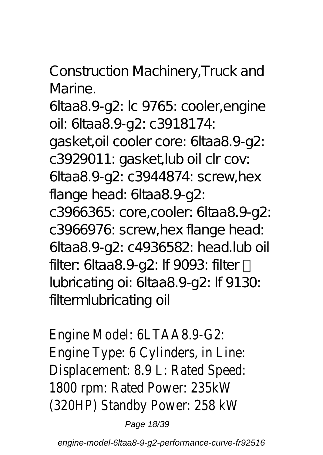Construction Machinery,Truck and Marine.

6ltaa8.9-g2: lc 9765: cooler,engine oil: 6ltaa8.9-g2: c3918174: gasket,oil cooler core: 6ltaa8.9-g2: c3929011: gasket,lub oil clr cov: 6ltaa8.9-g2: c3944874: screw,hex flange head: 6ltaa8.9-g2: c3966365: core,cooler: 6ltaa8.9-g2: c3966976: screw,hex flange head: 6ltaa8.9-g2: c4936582: head.lub oil filter: 6ltaa8.9-g2: If 9093: filter lubricating oi: 6ltaa8.9-g2: lf 9130: filtermlubricating oil

Engine Model: 6LTAA8.9-G2: Engine Type: 6 Cylinders, in Line: Displacement: 8.9 L: Rated Speed: 1800 rpm: Rated Power: 235kW (320HP) Standby Power: 258 kW

Page 18/39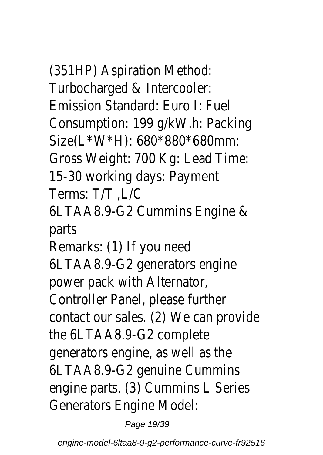# (351HP) Aspiration Method:

Turbocharged & Intercooler: Emission Standard: Euro I: Fuel Consumption: 199 g/kW.h: Packing Size(L\*W\*H): 680\*880\*680mm: Gross Weight: 700 Kg: Lead Time: 15-30 working days: Payment Terms: T/T ,L/C 6LTAA8.9-G2 Cummins Engine & parts Remarks: (1) If you need 6LTAA8.9-G2 generators engine power pack with Alternator, Controller Panel, please further contact our sales. (2) We can provide the 6LTAA8.9-G2 complete generators engine, as well as the 6LTAA8.9-G2 genuine Cummins engine parts. (3) Cummins L Series Generators Engine Model:

Page 19/39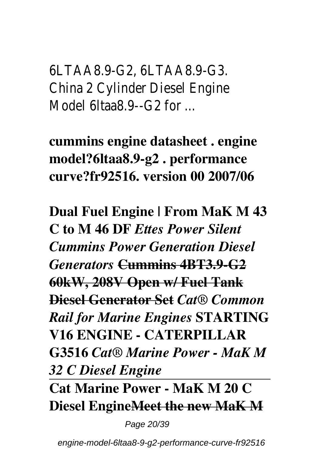6LTAA8.9-G2, 6LTAA8.9-G3. China 2 Cylinder Diesel Engine Model 6ltaa8.9--G2 for

**cummins engine datasheet . engine model?6ltaa8.9-g2 . performance curve?fr92516. version 00 2007/06**

**Dual Fuel Engine | From MaK M 43 C to M 46 DF** *Ettes Power Silent Cummins Power Generation Diesel Generators* **Cummins 4BT3.9-G2 60kW, 208V Open w/ Fuel Tank Diesel Generator Set** *Cat® Common Rail for Marine Engines* **STARTING V16 ENGINE - CATERPILLAR G3516** *Cat® Marine Power - MaK M 32 C Diesel Engine*

**Cat Marine Power - MaK M 20 C Diesel EngineMeet the new MaK M**

Page 20/39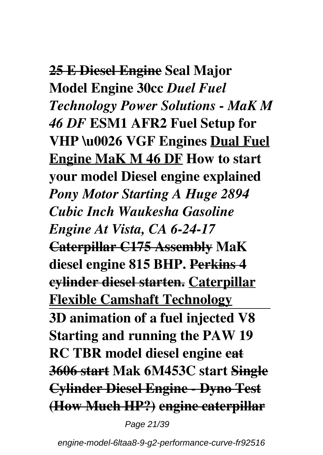### **25 E Diesel Engine Seal Major Model Engine 30cc** *Duel Fuel Technology Power Solutions - MaK M 46 DF* **ESM1 AFR2 Fuel Setup for VHP \u0026 VGF Engines Dual Fuel Engine MaK M 46 DF How to start your model Diesel engine explained**  *Pony Motor Starting A Huge 2894 Cubic Inch Waukesha Gasoline Engine At Vista, CA 6-24-17* **Caterpillar C175 Assembly MaK diesel engine 815 BHP. Perkins 4 cylinder diesel starten. Caterpillar Flexible Camshaft Technology 3D animation of a fuel injected V8 Starting and running the PAW 19 RC TBR model diesel engine cat 3606 start Mak 6M453C start Single Cylinder Diesel Engine - Dyno Test (How Much HP?) engine caterpillar**

Page 21/39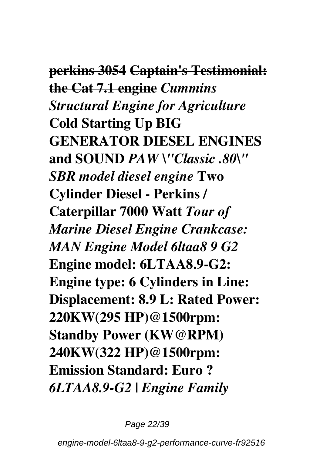**perkins 3054 Captain's Testimonial: the Cat 7.1 engine** *Cummins Structural Engine for Agriculture* **Cold Starting Up BIG GENERATOR DIESEL ENGINES and SOUND** *PAW \"Classic .80\" SBR model diesel engine* **Two Cylinder Diesel - Perkins / Caterpillar 7000 Watt** *Tour of Marine Diesel Engine Crankcase: MAN Engine Model 6ltaa8 9 G2* **Engine model: 6LTAA8.9-G2: Engine type: 6 Cylinders in Line: Displacement: 8.9 L: Rated Power: 220KW(295 HP)@1500rpm: Standby Power (KW@RPM) 240KW(322 HP)@1500rpm: Emission Standard: Euro ?** *6LTAA8.9-G2 | Engine Family*

Page 22/39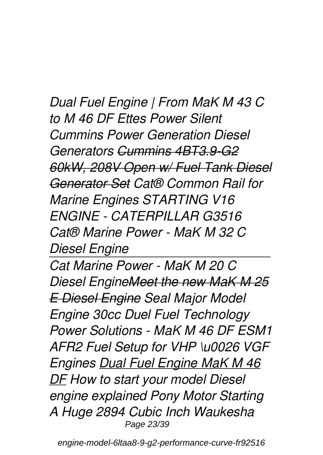*Dual Fuel Engine | From MaK M 43 C to M 46 DF Ettes Power Silent Cummins Power Generation Diesel Generators Cummins 4BT3.9-G2 60kW, 208V Open w/ Fuel Tank Diesel Generator Set Cat® Common Rail for Marine Engines STARTING V16 ENGINE - CATERPILLAR G3516 Cat® Marine Power - MaK M 32 C Diesel Engine*

*Cat Marine Power - MaK M 20 C Diesel EngineMeet the new MaK M 25 E Diesel Engine Seal Major Model Engine 30cc Duel Fuel Technology Power Solutions - MaK M 46 DF ESM1 AFR2 Fuel Setup for VHP \u0026 VGF Engines Dual Fuel Engine MaK M 46 DF How to start your model Diesel engine explained Pony Motor Starting A Huge 2894 Cubic Inch Waukesha* Page 23/39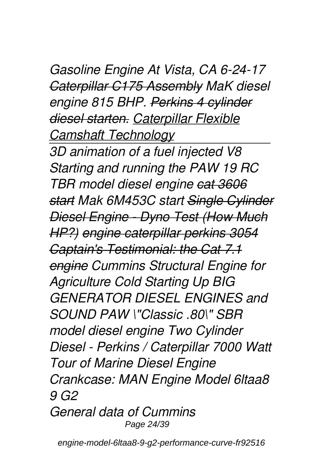#### *Gasoline Engine At Vista, CA 6-24-17 Caterpillar C175 Assembly MaK diesel engine 815 BHP. Perkins 4 cylinder diesel starten. Caterpillar Flexible Camshaft Technology*

*3D animation of a fuel injected V8 Starting and running the PAW 19 RC TBR model diesel engine cat 3606 start Mak 6M453C start Single Cylinder Diesel Engine - Dyno Test (How Much HP?) engine caterpillar perkins 3054 Captain's Testimonial: the Cat 7.1 engine Cummins Structural Engine for Agriculture Cold Starting Up BIG GENERATOR DIESEL ENGINES and SOUND PAW \"Classic .80\" SBR model diesel engine Two Cylinder Diesel - Perkins / Caterpillar 7000 Watt Tour of Marine Diesel Engine Crankcase: MAN Engine Model 6ltaa8 9 G2 General data of Cummins*

Page 24/39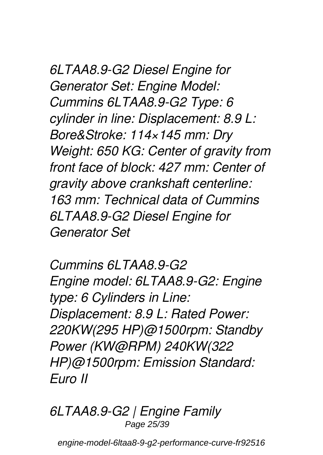*6LTAA8.9-G2 Diesel Engine for Generator Set: Engine Model: Cummins 6LTAA8.9-G2 Type: 6 cylinder in line: Displacement: 8.9 L: Bore&Stroke: 114×145 mm: Dry Weight: 650 KG: Center of gravity from front face of block: 427 mm: Center of gravity above crankshaft centerline: 163 mm: Technical data of Cummins 6LTAA8.9-G2 Diesel Engine for Generator Set*

*Cummins 6LTAA8.9-G2 Engine model: 6LTAA8.9-G2: Engine type: 6 Cylinders in Line: Displacement: 8.9 L: Rated Power: 220KW(295 HP)@1500rpm: Standby Power (KW@RPM) 240KW(322 HP)@1500rpm: Emission Standard: Euro Ⅱ*

*6LTAA8.9-G2 | Engine Family* Page 25/39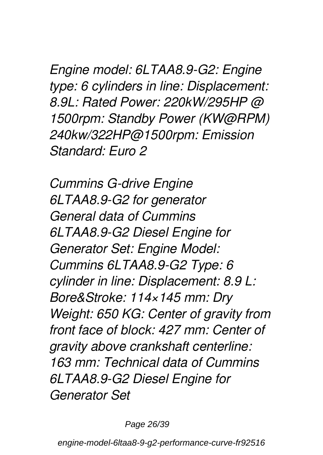*Engine model: 6LTAA8.9-G2: Engine type: 6 cylinders in line: Displacement: 8.9L: Rated Power: 220kW/295HP @ 1500rpm: Standby Power (KW@RPM) 240kw/322HP@1500rpm: Emission Standard: Euro 2*

*Cummins G-drive Engine 6LTAA8.9-G2 for generator General data of Cummins 6LTAA8.9-G2 Diesel Engine for Generator Set: Engine Model: Cummins 6LTAA8.9-G2 Type: 6 cylinder in line: Displacement: 8.9 L: Bore&Stroke: 114×145 mm: Dry Weight: 650 KG: Center of gravity from front face of block: 427 mm: Center of gravity above crankshaft centerline: 163 mm: Technical data of Cummins 6LTAA8.9-G2 Diesel Engine for Generator Set*

Page 26/39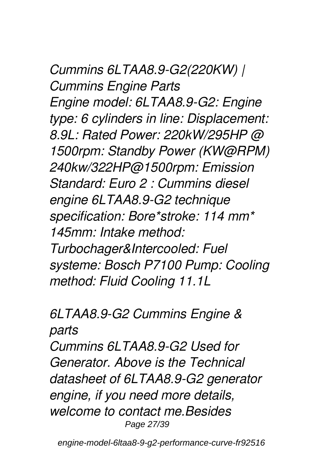*Cummins 6LTAA8.9-G2(220KW) | Cummins Engine Parts Engine model: 6LTAA8.9-G2: Engine type: 6 cylinders in line: Displacement: 8.9L: Rated Power: 220kW/295HP @ 1500rpm: Standby Power (KW@RPM) 240kw/322HP@1500rpm: Emission Standard: Euro 2 : Cummins diesel engine 6LTAA8.9-G2 technique specification: Bore\*stroke: 114 mm\* 145mm: Intake method: Turbochager&Intercooled: Fuel systeme: Bosch P7100 Pump: Cooling method: Fluid Cooling 11.1L*

#### *6LTAA8.9-G2 Cummins Engine & parts*

*Cummins 6LTAA8.9-G2 Used for Generator. Above is the Technical datasheet of 6LTAA8.9-G2 generator engine, if you need more details, welcome to contact me.Besides* Page 27/39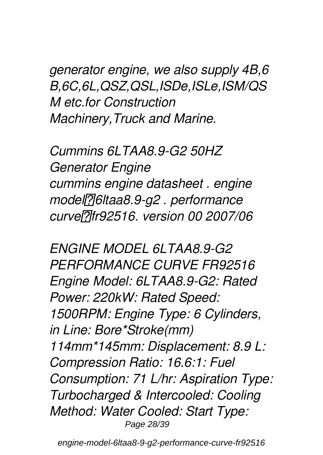*generator engine, we also supply 4B,6 B,6C,6L,QSZ,QSL,ISDe,ISLe,ISM/QS M etc.for Construction Machinery,Truck and Marine.*

*Cummins 6LTAA8.9-G2 50HZ Generator Engine cummins engine datasheet . engine model:6ltaa8.9-g2 . performance curve:fr92516. version 00 2007/06*

*ENGINE MODEL 6LTAA8.9-G2 PERFORMANCE CURVE FR92516 Engine Model: 6LTAA8.9-G2: Rated Power: 220kW: Rated Speed: 1500RPM: Engine Type: 6 Cylinders, in Line: Bore\*Stroke(mm) 114mm\*145mm: Displacement: 8.9 L: Compression Ratio: 16.6:1: Fuel Consumption: 71 L/hr: Aspiration Type: Turbocharged & Intercooled: Cooling Method: Water Cooled: Start Type:* Page 28/39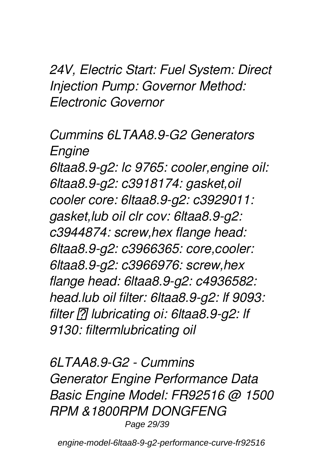*24V, Electric Start: Fuel System: Direct Injection Pump: Governor Method: Electronic Governor*

*Cummins 6LTAA8.9-G2 Generators Engine 6ltaa8.9-g2: lc 9765: cooler,engine oil: 6ltaa8.9-g2: c3918174: gasket,oil cooler core: 6ltaa8.9-g2: c3929011: gasket,lub oil clr cov: 6ltaa8.9-g2: c3944874: screw,hex flange head: 6ltaa8.9-g2: c3966365: core,cooler: 6ltaa8.9-g2: c3966976: screw,hex flange head: 6ltaa8.9-g2: c4936582: head.lub oil filter: 6ltaa8.9-g2: lf 9093: filter , lubricating oi: 6ltaa8.9-g2: lf 9130: filtermlubricating oil*

*6LTAA8.9-G2 - Cummins Generator Engine Performance Data Basic Engine Model: FR92516 @ 1500 RPM &1800RPM DONGFENG* Page 29/39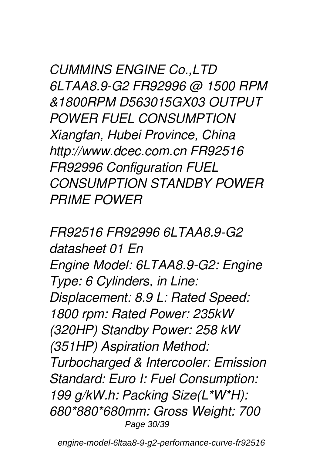*CUMMINS ENGINE Co.,LTD 6LTAA8.9-G2 FR92996 @ 1500 RPM &1800RPM D563015GX03 OUTPUT POWER FUEL CONSUMPTION Xiangfan, Hubei Province, China http://www.dcec.com.cn FR92516 FR92996 Configuration FUEL CONSUMPTION STANDBY POWER PRIME POWER*

*FR92516 FR92996 6LTAA8.9-G2 datasheet 01 En Engine Model: 6LTAA8.9-G2: Engine Type: 6 Cylinders, in Line: Displacement: 8.9 L: Rated Speed: 1800 rpm: Rated Power: 235kW (320HP) Standby Power: 258 kW (351HP) Aspiration Method: Turbocharged & Intercooler: Emission Standard: Euro I: Fuel Consumption: 199 g/kW.h: Packing Size(L\*W\*H): 680\*880\*680mm: Gross Weight: 700* Page 30/39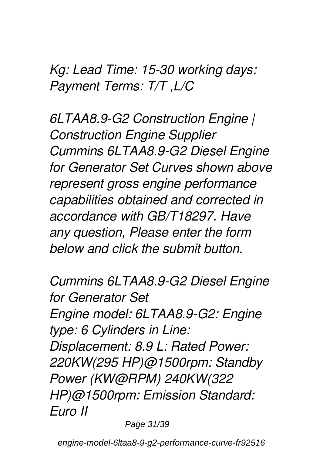*Kg: Lead Time: 15-30 working days: Payment Terms: T/T ,L/C*

*6LTAA8.9-G2 Construction Engine | Construction Engine Supplier Cummins 6LTAA8.9-G2 Diesel Engine for Generator Set Curves shown above represent gross engine performance capabilities obtained and corrected in accordance with GB/T18297. Have any question, Please enter the form below and click the submit button.*

*Cummins 6LTAA8.9-G2 Diesel Engine for Generator Set Engine model: 6LTAA8.9-G2: Engine type: 6 Cylinders in Line: Displacement: 8.9 L: Rated Power: 220KW(295 HP)@1500rpm: Standby Power (KW@RPM) 240KW(322 HP)@1500rpm: Emission Standard: Euro Ⅱ*

Page 31/39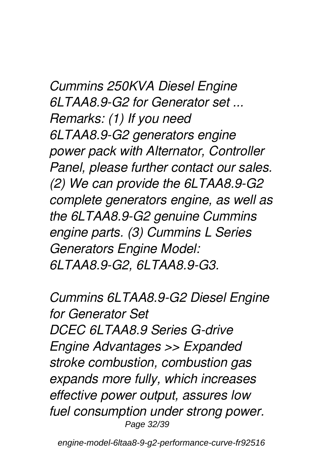*Cummins 250KVA Diesel Engine 6LTAA8.9-G2 for Generator set ... Remarks: (1) If you need 6LTAA8.9-G2 generators engine power pack with Alternator, Controller Panel, please further contact our sales. (2) We can provide the 6LTAA8.9-G2 complete generators engine, as well as the 6LTAA8.9-G2 genuine Cummins engine parts. (3) Cummins L Series Generators Engine Model: 6LTAA8.9-G2, 6LTAA8.9-G3.*

*Cummins 6LTAA8.9-G2 Diesel Engine for Generator Set DCEC 6LTAA8.9 Series G-drive Engine Advantages >> Expanded stroke combustion, combustion gas expands more fully, which increases effective power output, assures low fuel consumption under strong power.* Page 32/39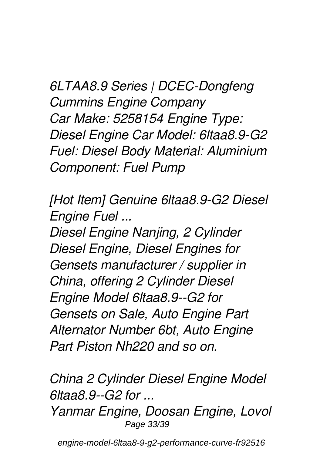*6LTAA8.9 Series | DCEC-Dongfeng Cummins Engine Company Car Make: 5258154 Engine Type: Diesel Engine Car Model: 6ltaa8.9-G2 Fuel: Diesel Body Material: Aluminium Component: Fuel Pump*

*[Hot Item] Genuine 6ltaa8.9-G2 Diesel Engine Fuel ...*

*Diesel Engine Nanjing, 2 Cylinder Diesel Engine, Diesel Engines for Gensets manufacturer / supplier in China, offering 2 Cylinder Diesel Engine Model 6ltaa8.9--G2 for Gensets on Sale, Auto Engine Part Alternator Number 6bt, Auto Engine Part Piston Nh220 and so on.*

*China 2 Cylinder Diesel Engine Model 6ltaa8.9--G2 for ...*

*Yanmar Engine, Doosan Engine, Lovol* Page 33/39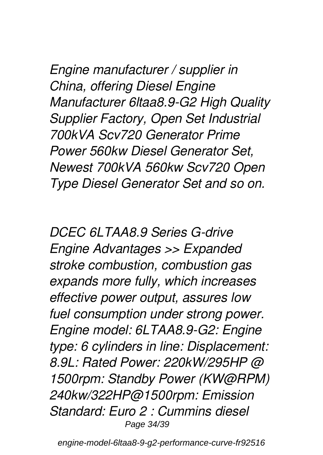*Engine manufacturer / supplier in China, offering Diesel Engine Manufacturer 6ltaa8.9-G2 High Quality Supplier Factory, Open Set Industrial 700kVA Scv720 Generator Prime Power 560kw Diesel Generator Set, Newest 700kVA 560kw Scv720 Open Type Diesel Generator Set and so on.*

*DCEC 6LTAA8.9 Series G-drive Engine Advantages >> Expanded stroke combustion, combustion gas expands more fully, which increases effective power output, assures low fuel consumption under strong power. Engine model: 6LTAA8.9-G2: Engine type: 6 cylinders in line: Displacement: 8.9L: Rated Power: 220kW/295HP @ 1500rpm: Standby Power (KW@RPM) 240kw/322HP@1500rpm: Emission Standard: Euro 2 : Cummins diesel* Page 34/39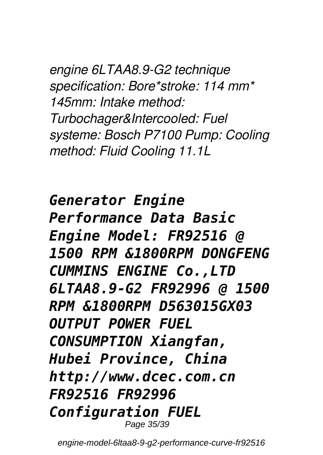*engine 6LTAA8.9-G2 technique specification: Bore\*stroke: 114 mm\* 145mm: Intake method: Turbochager&Intercooled: Fuel systeme: Bosch P7100 Pump: Cooling method: Fluid Cooling 11.1L*

*Generator Engine Performance Data Basic Engine Model: FR92516 @ 1500 RPM &1800RPM DONGFENG CUMMINS ENGINE Co.,LTD 6LTAA8.9-G2 FR92996 @ 1500 RPM &1800RPM D563015GX03 OUTPUT POWER FUEL CONSUMPTION Xiangfan, Hubei Province, China http://www.dcec.com.cn FR92516 FR92996 Configuration FUEL* Page 35/39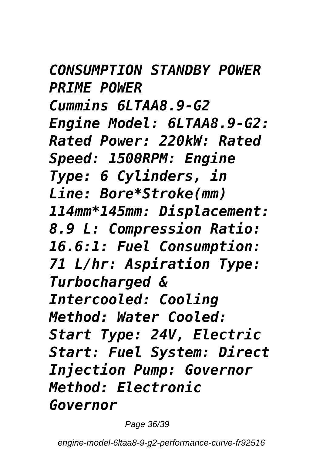*CONSUMPTION STANDBY POWER PRIME POWER Cummins 6LTAA8.9-G2 Engine Model: 6LTAA8.9-G2: Rated Power: 220kW: Rated Speed: 1500RPM: Engine Type: 6 Cylinders, in Line: Bore\*Stroke(mm) 114mm\*145mm: Displacement: 8.9 L: Compression Ratio: 16.6:1: Fuel Consumption: 71 L/hr: Aspiration Type: Turbocharged & Intercooled: Cooling Method: Water Cooled: Start Type: 24V, Electric Start: Fuel System: Direct Injection Pump: Governor Method: Electronic Governor*

Page 36/39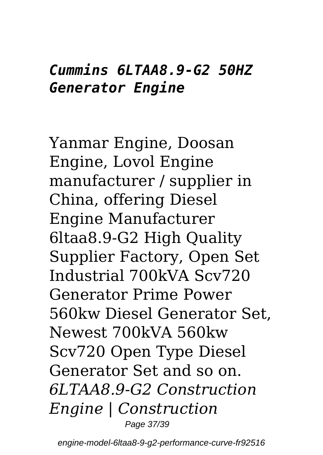#### *Cummins 6LTAA8.9-G2 50HZ Generator Engine*

Yanmar Engine, Doosan Engine, Lovol Engine manufacturer / supplier in China, offering Diesel Engine Manufacturer 6ltaa8.9-G2 High Quality Supplier Factory, Open Set Industrial 700kVA Scv720 Generator Prime Power 560kw Diesel Generator Set, Newest 700kVA 560kw Scv720 Open Type Diesel Generator Set and so on. *6LTAA8.9-G2 Construction Engine | Construction* Page 37/39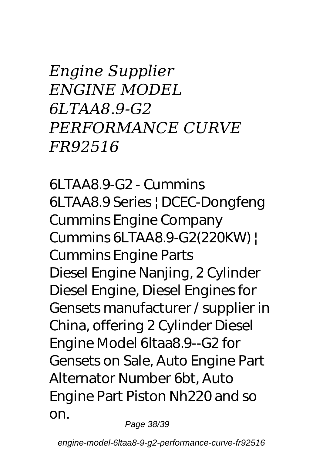*Engine Supplier ENGINE MODEL 6LTAA8.9-G2 PERFORMANCE CURVE FR92516*

*6LTAA8.9-G2 - Cummins 6LTAA8.9 Series | DCEC-Dongfeng Cummins Engine Company Cummins 6LTAA8.9-G2(220KW) | Cummins Engine Parts* Diesel Engine Nanjing, 2 Cylinder Diesel Engine, Diesel Engines for Gensets manufacturer / supplier in China, offering 2 Cylinder Diesel Engine Model 6ltaa8.9--G2 for Gensets on Sale, Auto Engine Part Alternator Number 6bt, Auto Engine Part Piston Nh220 and so on.

Page 38/39